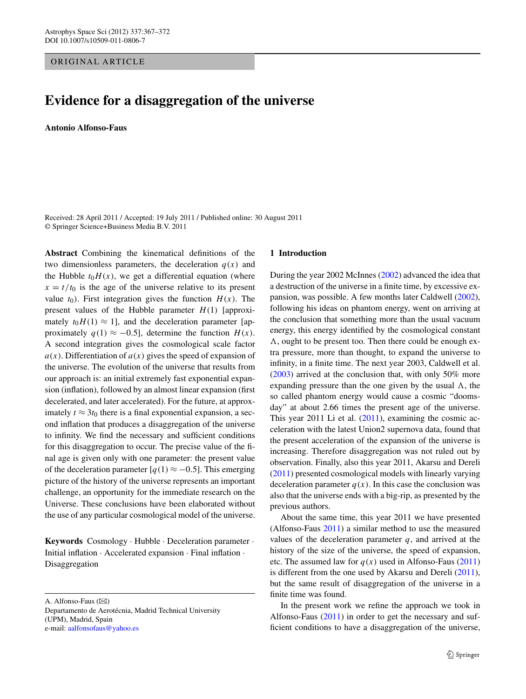ORIGINAL ARTICLE

# **Evidence for a disaggregation of the universe**

**Antonio Alfonso-Faus**

Received: 28 April 2011 / Accepted: 19 July 2011 / Published online: 30 August 2011 © Springer Science+Business Media B.V. 2011

**Abstract** Combining the kinematical definitions of the two dimensionless parameters, the deceleration  $q(x)$  and the Hubble  $t_0H(x)$ , we get a differential equation (where  $x = t/t_0$  is the age of the universe relative to its present value  $t_0$ ). First integration gives the function  $H(x)$ . The present values of the Hubble parameter  $H(1)$  [approximately  $t_0H(1) \approx 1$ ], and the deceleration parameter [approximately  $q(1) \approx -0.5$ , determine the function  $H(x)$ . A second integration gives the cosmological scale factor  $a(x)$ . Differentiation of  $a(x)$  gives the speed of expansion of the universe. The evolution of the universe that results from our approach is: an initial extremely fast exponential expansion (inflation), followed by an almost linear expansion (first decelerated, and later accelerated). For the future, at approximately  $t \approx 3t_0$  there is a final exponential expansion, a second inflation that produces a disaggregation of the universe to infinity. We find the necessary and sufficient conditions for this disaggregation to occur. The precise value of the final age is given only with one parameter: the present value of the deceleration parameter  $[q(1) \approx -0.5]$ . This emerging picture of the history of the universe represents an important challenge, an opportunity for the immediate research on the Universe. These conclusions have been elaborated without the use of any particular cosmological model of the universe.

**Keywords** Cosmology · Hubble · Deceleration parameter · Initial inflation · Accelerated expansion · Final inflation · Disaggregation

A. Alfonso-Faus  $(\boxtimes)$ 

Departamento de Aerotécnia, Madrid Technical University (UPM), Madrid, Spain e-mail: [aalfonsofaus@yahoo.es](mailto:aalfonsofaus@yahoo.es)

# **1 Introduction**

During the year 2002 McInnes ([2002\)](#page-5-0) advanced the idea that a destruction of the universe in a finite time, by excessive expansion, was possible. A few months later Caldwell [\(2002](#page-5-1)), following his ideas on phantom energy, went on arriving at the conclusion that something more than the usual vacuum energy, this energy identified by the cosmological constant *-*, ought to be present too. Then there could be enough extra pressure, more than thought, to expand the universe to infinity, in a finite time. The next year 2003, Caldwell et al. [\(2003](#page-5-2)) arrived at the conclusion that, with only 50% more expanding pressure than the one given by the usual  $\Lambda$ , the so called phantom energy would cause a cosmic "doomsday" at about 2.66 times the present age of the universe. This year 2011 Li et al. [\(2011](#page-5-3)), examining the cosmic acceleration with the latest Union2 supernova data, found that the present acceleration of the expansion of the universe is increasing. Therefore disaggregation was not ruled out by observation. Finally, also this year 2011, Akarsu and Dereli [\(2011](#page-5-4)) presented cosmological models with linearly varying deceleration parameter  $q(x)$ . In this case the conclusion was also that the universe ends with a big-rip, as presented by the previous authors.

About the same time, this year 2011 we have presented (Alfonso-Faus [2011](#page-5-5)) a similar method to use the measured values of the deceleration parameter  $q$ , and arrived at the history of the size of the universe, the speed of expansion, etc. The assumed law for  $q(x)$  used in Alfonso-Faus ([2011\)](#page-5-5) is different from the one used by Akarsu and Dereli [\(2011](#page-5-4)), but the same result of disaggregation of the universe in a finite time was found.

In the present work we refine the approach we took in Alfonso-Faus [\(2011](#page-5-5)) in order to get the necessary and sufficient conditions to have a disaggregation of the universe,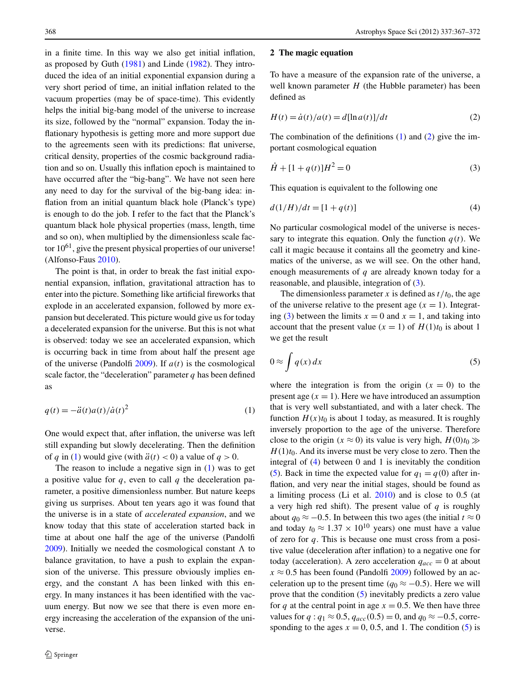in a finite time. In this way we also get initial inflation, as proposed by Guth [\(1981](#page-5-6)) and Linde ([1982\)](#page-5-7). They introduced the idea of an initial exponential expansion during a very short period of time, an initial inflation related to the vacuum properties (may be of space-time). This evidently helps the initial big-bang model of the universe to increase its size, followed by the "normal" expansion. Today the inflationary hypothesis is getting more and more support due to the agreements seen with its predictions: flat universe, critical density, properties of the cosmic background radiation and so on. Usually this inflation epoch is maintained to have occurred after the "big-bang". We have not seen here any need to day for the survival of the big-bang idea: inflation from an initial quantum black hole (Planck's type) is enough to do the job. I refer to the fact that the Planck's quantum black hole physical properties (mass, length, time and so on), when multiplied by the dimensionless scale factor  $10^{61}$ , give the present physical properties of our universe! (Alfonso-Faus [2010\)](#page-5-8).

<span id="page-1-0"></span>The point is that, in order to break the fast initial exponential expansion, inflation, gravitational attraction has to enter into the picture. Something like artificial fireworks that explode in an accelerated expansion, followed by more expansion but decelerated. This picture would give us for today a decelerated expansion for the universe. But this is not what is observed: today we see an accelerated expansion, which is occurring back in time from about half the present age of the universe (Pandolfi [2009\)](#page-5-9). If *a(t)* is the cosmological scale factor, the "deceleration" parameter  $q$  has been defined as

$$
q(t) = -\ddot{a}(t)a(t)/\dot{a}(t)^{2}
$$
\n(1)

One would expect that, after inflation, the universe was left still expanding but slowly decelerating. Then the definition of *q* in ([1\)](#page-1-0) would give (with  $\ddot{a}(t) < 0$ ) a value of  $q > 0$ .

The reason to include a negative sign in ([1\)](#page-1-0) was to get a positive value for *q*, even to call *q* the deceleration parameter, a positive dimensionless number. But nature keeps giving us surprises. About ten years ago it was found that the universe is in a state of *accelerated expansion*, and we know today that this state of acceleration started back in time at about one half the age of the universe (Pandolfi [2009\)](#page-5-9). Initially we needed the cosmological constant  $\Lambda$  to balance gravitation, to have a push to explain the expansion of the universe. This pressure obviously implies energy, and the constant  $\Lambda$  has been linked with this energy. In many instances it has been identified with the vacuum energy. But now we see that there is even more energy increasing the acceleration of the expansion of the universe.

#### <span id="page-1-1"></span>**2 The magic equation**

<span id="page-1-2"></span>To have a measure of the expansion rate of the universe, a well known parameter *H* (the Hubble parameter) has been defined as

$$
H(t) = \dot{a}(t)/a(t) = d[\ln a(t)]/dt
$$
\n(2)

<span id="page-1-3"></span>The combination of the definitions  $(1)$  $(1)$  and  $(2)$  $(2)$  give the important cosmological equation

$$
\dot{H} + [1 + q(t)]H^2 = 0 \tag{3}
$$

This equation is equivalent to the following one

$$
d(1/H)/dt = [1 + q(t)] \tag{4}
$$

No particular cosmological model of the universe is necessary to integrate this equation. Only the function  $q(t)$ . We call it magic because it contains all the geometry and kinematics of the universe, as we will see. On the other hand, enough measurements of *q* are already known today for a reasonable, and plausible, integration of ([3\)](#page-1-2).

<span id="page-1-4"></span>The dimensionless parameter  $x$  is defined as  $t/t_0$ , the age of the universe relative to the present age  $(x = 1)$ . Integrat-ing ([3\)](#page-1-2) between the limits  $x = 0$  and  $x = 1$ , and taking into account that the present value  $(x = 1)$  of  $H(1)t_0$  is about 1 we get the result

$$
0 \approx \int q(x) dx \tag{5}
$$

where the integration is from the origin  $(x = 0)$  to the present age  $(x = 1)$ . Here we have introduced an assumption that is very well substantiated, and with a later check. The function  $H(x)t_0$  is about 1 today, as measured. It is roughly inversely proportion to the age of the universe. Therefore close to the origin  $(x \approx 0)$  its value is very high,  $H(0)t_0 \gg$  $H(1)t<sub>0</sub>$ . And its inverse must be very close to zero. Then the integral of ([4\)](#page-1-3) between 0 and 1 is inevitably the condition [\(5](#page-1-4)). Back in time the expected value for  $q_1 = q(0)$  after inflation, and very near the initial stages, should be found as a limiting process (Li et al. [2010\)](#page-5-10) and is close to 0.5 (at a very high red shift). The present value of *q* is roughly about  $q_0 \approx -0.5$ . In between this two ages (the initial  $t \approx 0$ and today  $t_0 \approx 1.37 \times 10^{10}$  years) one must have a value of zero for *q*. This is because one must cross from a positive value (deceleration after inflation) to a negative one for today (acceleration). A zero acceleration  $q_{acc} = 0$  at about  $x \approx 0.5$  has been found (Pandolfi [2009\)](#page-5-9) followed by an acceleration up to the present time  $(q_0 \approx -0.5)$ . Here we will prove that the condition ([5\)](#page-1-4) inevitably predicts a zero value for *q* at the central point in age  $x = 0.5$ . We then have three values for *q* :  $q_1 \approx 0.5$ ,  $q_{acc}(0.5) = 0$ , and  $q_0 \approx -0.5$ , corresponding to the ages  $x = 0, 0.5$ , and 1. The condition [\(5](#page-1-4)) is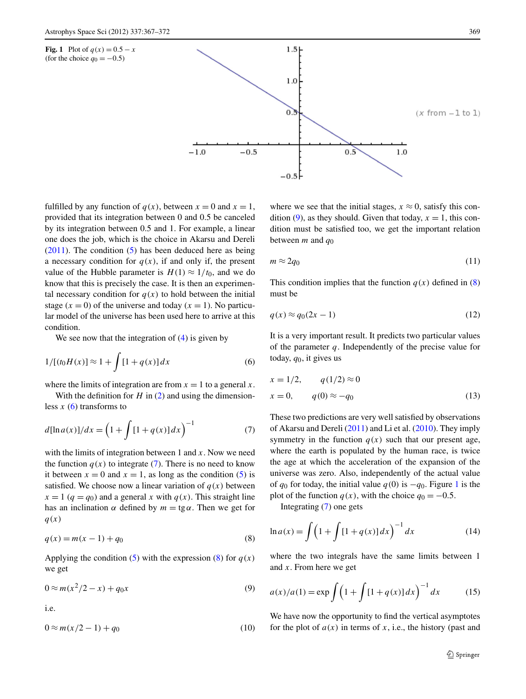<span id="page-2-4"></span>

fulfilled by any function of  $q(x)$ , between  $x = 0$  and  $x = 1$ , provided that its integration between 0 and 0.5 be canceled by its integration between 0.5 and 1. For example, a linear one does the job, which is the choice in Akarsu and Dereli  $(2011)$  $(2011)$ . The condition  $(5)$  $(5)$  has been deduced here as being a necessary condition for  $q(x)$ , if and only if, the present value of the Hubble parameter is  $H(1) \approx 1/t_0$ , and we do know that this is precisely the case. It is then an experimental necessary condition for  $q(x)$  to hold between the initial stage  $(x = 0)$  of the universe and today  $(x = 1)$ . No particular model of the universe has been used here to arrive at this condition.

<span id="page-2-0"></span>We see now that the integration of  $(4)$  $(4)$  is given by

<span id="page-2-1"></span>
$$
1/[(t_0H(x)] \approx 1 + \int [1 + q(x)] dx \tag{6}
$$

where the limits of integration are from  $x = 1$  to a general  $x$ .

With the definition for  $H$  in  $(2)$  $(2)$  and using the dimensionless  $x(6)$  $x(6)$  transforms to

$$
d[\ln a(x)]/dx = \left(1 + \int [1 + q(x)] dx\right)^{-1}
$$
 (7)

<span id="page-2-2"></span>with the limits of integration between 1 and *x*. Now we need the function  $q(x)$  to integrate [\(7](#page-2-1)). There is no need to know it between  $x = 0$  and  $x = 1$ , as long as the condition ([5\)](#page-1-4) is satisfied. We choose now a linear variation of  $q(x)$  between  $x = 1$  ( $q = q_0$ ) and a general *x* with  $q(x)$ . This straight line has an inclination  $\alpha$  defined by  $m = \text{tg}\alpha$ . Then we get for *q(x)*

<span id="page-2-3"></span>
$$
q(x) = m(x - 1) + q_0
$$
 (8)

Applying the condition  $(5)$  $(5)$  with the expression  $(8)$  $(8)$  for  $q(x)$ we get

$$
0 \approx m(x^2/2 - x) + q_0 x \tag{9}
$$

i.e.

 $0 \approx m(x/2 - 1) + q_0$  (10)

where we see that the initial stages,  $x \approx 0$ , satisfy this con-dition [\(9](#page-2-3)), as they should. Given that today,  $x = 1$ , this condition must be satisfied too, we get the important relation between *m* and *q*<sup>0</sup>

<span id="page-2-5"></span>
$$
m \approx 2q_0 \tag{11}
$$

This condition implies that the function  $q(x)$  defined in ([8\)](#page-2-2) must be

$$
q(x) \approx q_0(2x - 1) \tag{12}
$$

It is a very important result. It predicts two particular values of the parameter *q*. Independently of the precise value for today,  $q_0$ , it gives us

$$
x = 1/2, \qquad q(1/2) \approx 0
$$
  

$$
x = 0, \qquad q(0) \approx -q_0
$$
 (13)

These two predictions are very well satisfied by observations of Akarsu and Dereli ([2011\)](#page-5-4) and Li et al. ([2010\)](#page-5-10). They imply symmetry in the function  $q(x)$  such that our present age, where the earth is populated by the human race, is twice the age at which the acceleration of the expansion of the universe was zero. Also, independently of the actual value of  $q_0$  for today, the initial value  $q(0)$  is  $-q_0$ . Figure [1](#page-2-4) is the plot of the function  $q(x)$ , with the choice  $q_0 = -0.5$ .

Integrating [\(7](#page-2-1)) one gets

<span id="page-2-6"></span>
$$
\ln a(x) = \int \left(1 + \int [1 + q(x)] dx\right)^{-1} dx
$$
 (14)

where the two integrals have the same limits between 1 and *x*. From here we get

$$
a(x)/a(1) = \exp \int \left(1 + \int [1 + q(x)] dx\right)^{-1} dx
$$
 (15)

We have now the opportunity to find the vertical asymptotes for the plot of  $a(x)$  in terms of *x*, i.e., the history (past and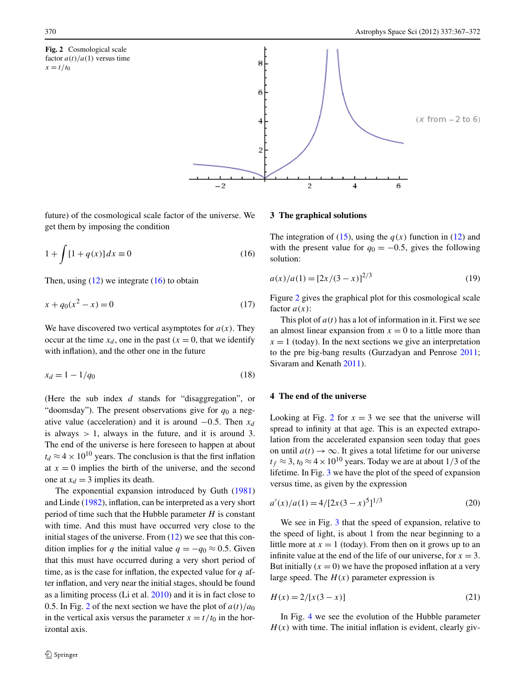<span id="page-3-1"></span>**Fig. 2** Cosmological scale factor  $a(t)/a(1)$  versus time  $x = t/t_0$ 



<span id="page-3-0"></span>future) of the cosmological scale factor of the universe. We get them by imposing the condition

$$
1 + \int [1 + q(x)] dx \equiv 0 \tag{16}
$$

Then, using  $(12)$  $(12)$  we integrate  $(16)$  $(16)$  to obtain

$$
x + q_0(x^2 - x) = 0 \tag{17}
$$

We have discovered two vertical asymptotes for  $a(x)$ . They occur at the time  $x_d$ , one in the past ( $x = 0$ , that we identify with inflation), and the other one in the future

$$
x_d = 1 - 1/q_0 \tag{18}
$$

(Here the sub index *d* stands for "disaggregation", or "doomsday"). The present observations give for  $q_0$  a negative value (acceleration) and it is around  $-0.5$ . Then  $x_d$ is always *>* 1, always in the future, and it is around 3. The end of the universe is here foreseen to happen at about  $t_d \approx 4 \times 10^{10}$  years. The conclusion is that the first inflation at  $x = 0$  implies the birth of the universe, and the second one at  $x_d = 3$  implies its death.

The exponential expansion introduced by Guth ([1981\)](#page-5-6) and Linde ([1982\)](#page-5-7), inflation, can be interpreted as a very short period of time such that the Hubble parameter *H* is constant with time. And this must have occurred very close to the initial stages of the universe. From  $(12)$  $(12)$  we see that this condition implies for *q* the initial value  $q = -q_0 \approx 0.5$ . Given that this must have occurred during a very short period of time, as is the case for inflation, the expected value for *q* after inflation, and very near the initial stages, should be found as a limiting process (Li et al. [2010](#page-5-10)) and it is in fact close to 0.5. In Fig. [2](#page-3-1) of the next section we have the plot of  $a(t)/a_0$ in the vertical axis versus the parameter  $x = t/t_0$  in the horizontal axis.

#### **3 The graphical solutions**

The integration of [\(15](#page-2-6)), using the  $q(x)$  function in ([12\)](#page-2-5) and with the present value for  $q_0 = -0.5$ , gives the following solution:

$$
a(x)/a(1) = [2x/(3-x)]^{2/3}
$$
 (19)

Figure [2](#page-3-1) gives the graphical plot for this cosmological scale factor *a(x)*:

This plot of  $a(t)$  has a lot of information in it. First we see an almost linear expansion from  $x = 0$  to a little more than  $x = 1$  (today). In the next sections we give an interpretation to the pre big-bang results (Gurzadyan and Penrose [2011](#page-5-11); Sivaram and Kenath [2011\)](#page-5-12).

## **4 The end of the universe**

Looking at Fig. [2](#page-3-1) for  $x = 3$  we see that the universe will spread to infinity at that age. This is an expected extrapolation from the accelerated expansion seen today that goes on until  $a(t) \rightarrow \infty$ . It gives a total lifetime for our universe  $t_f \approx 3$ ,  $t_0 \approx 4 \times 10^{10}$  years. Today we are at about 1/3 of the lifetime. In Fig. [3](#page-4-0) we have the plot of the speed of expansion versus time, as given by the expression

$$
a'(x)/a(1) = 4/[2x(3-x)^5]^{1/3}
$$
 (20)

We see in Fig. [3](#page-4-0) that the speed of expansion, relative to the speed of light, is about 1 from the near beginning to a little more at  $x = 1$  (today). From then on it grows up to an infinite value at the end of the life of our universe, for  $x = 3$ . But initially  $(x = 0)$  we have the proposed inflation at a very large speed. The  $H(x)$  parameter expression is

$$
H(x) = 2/[x(3-x)]
$$
 (21)

In Fig. [4](#page-4-1) we see the evolution of the Hubble parameter  $H(x)$  with time. The initial inflation is evident, clearly giv-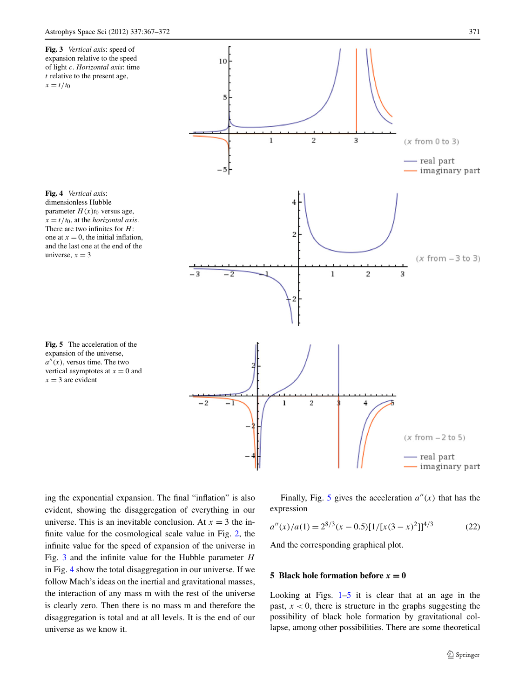<span id="page-4-1"></span><span id="page-4-0"></span>

<span id="page-4-2"></span>ing the exponential expansion. The final "inflation" is also evident, showing the disaggregation of everything in our universe. This is an inevitable conclusion. At  $x = 3$  the infinite value for the cosmological scale value in Fig. [2,](#page-3-1) the infinite value for the speed of expansion of the universe in Fig. [3](#page-4-0) and the infinite value for the Hubble parameter *H* in Fig. [4](#page-4-1) show the total disaggregation in our universe. If we follow Mach's ideas on the inertial and gravitational masses, the interaction of any mass m with the rest of the universe is clearly zero. Then there is no mass m and therefore the disaggregation is total and at all levels. It is the end of our universe as we know it.

Finally, Fig. [5](#page-4-2) gives the acceleration  $a''(x)$  that has the expression

$$
a''(x)/a(1) = 2^{8/3}(x - 0.5)[1/[x(3 - x)^{2}]]^{4/3}
$$
 (22)

And the corresponding graphical plot.

#### **5 Black hole formation before**  $x = 0$

Looking at Figs.  $1-5$  $1-5$  it is clear that at an age in the past,  $x < 0$ , there is structure in the graphs suggesting the possibility of black hole formation by gravitational collapse, among other possibilities. There are some theoretical